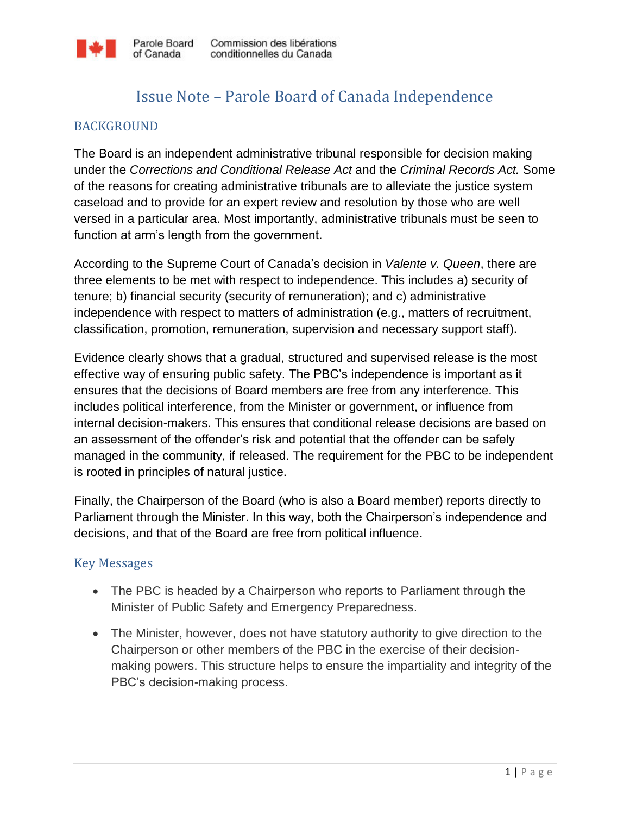

## Issue Note – Parole Board of Canada Independence

## BACKGROUND

The Board is an independent administrative tribunal responsible for decision making under the *Corrections and Conditional Release Act* and the *Criminal Records Act.* Some of the reasons for creating administrative tribunals are to alleviate the justice system caseload and to provide for an expert review and resolution by those who are well versed in a particular area. Most importantly, administrative tribunals must be seen to function at arm's length from the government.

According to the Supreme Court of Canada's decision in *Valente v. Queen*, there are three elements to be met with respect to independence. This includes a) security of tenure; b) financial security (security of remuneration); and c) administrative independence with respect to matters of administration (e.g., matters of recruitment, classification, promotion, remuneration, supervision and necessary support staff).

Evidence clearly shows that a gradual, structured and supervised release is the most effective way of ensuring public safety. The PBC's independence is important as it ensures that the decisions of Board members are free from any interference. This includes political interference, from the Minister or government, or influence from internal decision-makers. This ensures that conditional release decisions are based on an assessment of the offender's risk and potential that the offender can be safely managed in the community, if released. The requirement for the PBC to be independent is rooted in principles of natural justice.

Finally, the Chairperson of the Board (who is also a Board member) reports directly to Parliament through the Minister. In this way, both the Chairperson's independence and decisions, and that of the Board are free from political influence.

## Key Messages

- The PBC is headed by a Chairperson who reports to Parliament through the Minister of Public Safety and Emergency Preparedness.
- The Minister, however, does not have statutory authority to give direction to the Chairperson or other members of the PBC in the exercise of their decisionmaking powers. This structure helps to ensure the impartiality and integrity of the PBC's decision-making process.